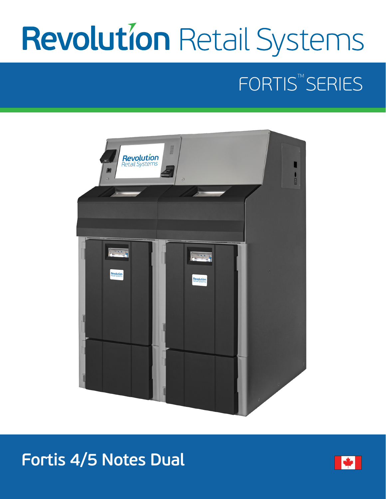# **Revolution Retail Systems**

## FORTIS<sup>™</sup>SERIES



**Fortis 4/5 Notes Dual**

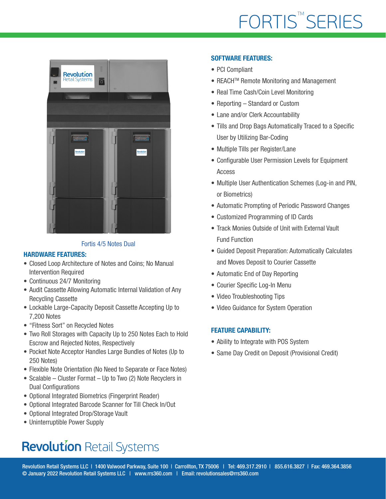

#### Fortis 4/5 Notes Dual

#### HARDWARE FEATURES:

- Closed Loop Architecture of Notes and Coins; No Manual Intervention Required
- Continuous 24/7 Monitoring
- Audit Cassette Allowing Automatic Internal Validation of Any Recycling Cassette
- Lockable Large-Capacity Deposit Cassette Accepting Up to 7,200 Notes
- "Fitness Sort" on Recycled Notes
- Two Roll Storages with Capacity Up to 250 Notes Each to Hold Escrow and Rejected Notes, Respectively
- Pocket Note Acceptor Handles Large Bundles of Notes (Up to 250 Notes)
- Flexible Note Orientation (No Need to Separate or Face Notes)
- Scalable Cluster Format Up to Two (2) Note Recyclers in Dual Configurations
- Optional Integrated Biometrics (Fingerprint Reader)
- Optional Integrated Barcode Scanner for Till Check In/Out
- Optional Integrated Drop/Storage Vault
- Uninterruptible Power Supply

## **Revolution Retail Systems**

#### SOFTWARE FEATURES:

- PCI Compliant
- REACHTM Remote Monitoring and Management
- Real Time Cash/Coin Level Monitoring
- Reporting Standard or Custom
- Lane and/or Clerk Accountability
- Tills and Drop Bags Automatically Traced to a Specific User by Utilizing Bar-Coding
- Multiple Tills per Register/Lane
- Configurable User Permission Levels for Equipment Access
- Multiple User Authentication Schemes (Log-in and PIN, or Biometrics)
- Automatic Prompting of Periodic Password Changes
- Customized Programming of ID Cards
- Track Monies Outside of Unit with External Vault Fund Function
- Guided Deposit Preparation: Automatically Calculates and Moves Deposit to Courier Cassette
- Automatic End of Day Reporting
- Courier Specific Log-In Menu
- Video Troubleshooting Tips
- Video Guidance for System Operation

#### FEATURE CAPABILITY:

- Ability to Integrate with POS System
- Same Day Credit on Deposit (Provisional Credit)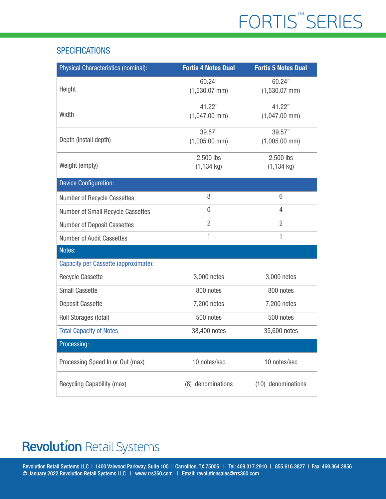#### **SPECIFICATIONS**

| <b>Physical Characteristics (nominal):</b> | <b>Fortis 4 Notes Dual</b> | <b>Fortis 5 Notes Dual</b> |
|--------------------------------------------|----------------------------|----------------------------|
| Height                                     | 60.24"<br>$(1,530.07$ mm)  | 60.24"<br>$(1,530.07$ mm)  |
| Width                                      | 41.22"<br>$(1,047.00$ mm)  | 41.22"<br>$(1,047.00$ mm)  |
| Depth (install depth)                      | 39.57"<br>$(1,005.00$ mm)  | 39.57"<br>$(1,005.00$ mm)  |
| Weight (empty)                             | 2,500 lbs<br>$(1, 134$ kg) | 2,500 lbs<br>$(1, 134$ kg) |
| <b>Device Configuration:</b>               |                            |                            |
| Number of Recycle Cassettes                | 8                          | 6                          |
| Number of Small Recycle Cassettes          | 0                          | $\overline{4}$             |
| <b>Number of Deposit Cassettes</b>         | $\overline{2}$             | $\overline{2}$             |
| Number of Audit Cassettes                  | 1                          | 1                          |
| Notes:                                     |                            |                            |
| Capacity per Cassette (approximate):       |                            |                            |
| Recycle Cassette                           | 3,000 notes                | 3,000 notes                |
| <b>Small Cassette</b>                      | 800 notes                  | 800 notes                  |
| <b>Deposit Cassette</b>                    | 7,200 notes                | 7,200 notes                |
| Roll Storages (total)                      | 500 notes                  | 500 notes                  |
| <b>Total Capacity of Notes</b>             | 38,400 notes               | 35,600 notes               |
| Processing:                                |                            |                            |
| Processing Speed In or Out (max)           | 10 notes/sec               | 10 notes/sec               |
| Recycling Capability (max)                 | (8) denominations          | (10) denominations         |

## **Revolution Retail Systems**

Revolution Retail Systems LLC | 1400 Valwood Parkway, Suite 100 | Carrollton, TX 75006 | Tel: 469.317.2910 | 855.616.3827 | Fax: 469.364.3856 © January 2022 Revolution Retail Systems LLC | www.rrs360.com | Email: revolutionsales@rrs360.com